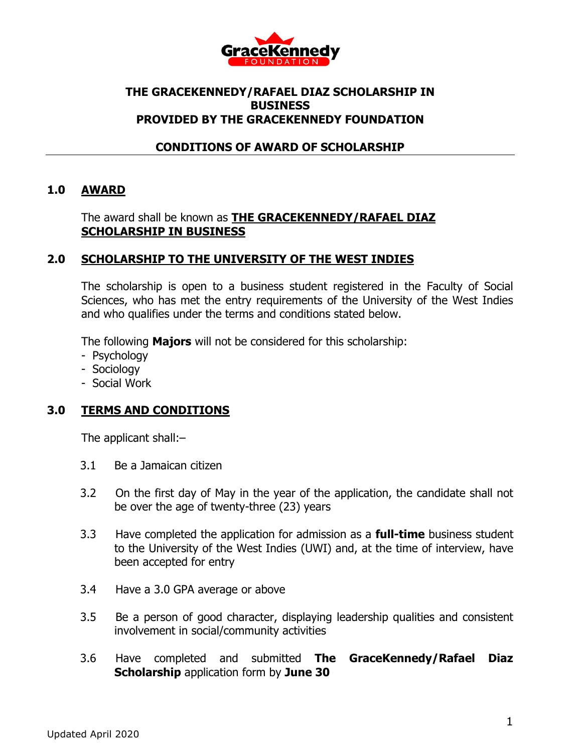

## **THE GRACEKENNEDY/RAFAEL DIAZ SCHOLARSHIP IN BUSINESS PROVIDED BY THE GRACEKENNEDY FOUNDATION**

## **CONDITIONS OF AWARD OF SCHOLARSHIP**

## **1.0 AWARD**

#### The award shall be known as **THE GRACEKENNEDY/RAFAEL DIAZ SCHOLARSHIP IN BUSINESS**

## **2.0 SCHOLARSHIP TO THE UNIVERSITY OF THE WEST INDIES**

The scholarship is open to a business student registered in the Faculty of Social Sciences, who has met the entry requirements of the University of the West Indies and who qualifies under the terms and conditions stated below.

The following **Majors** will not be considered for this scholarship:

- Psychology
- Sociology
- Social Work

## **3.0 TERMS AND CONDITIONS**

The applicant shall:–

- 3.1 Be a Jamaican citizen
- 3.2 On the first day of May in the year of the application, the candidate shall not be over the age of twenty-three (23) years
- 3.3 Have completed the application for admission as a **full-time** business student to the University of the West Indies (UWI) and, at the time of interview, have been accepted for entry
- 3.4 Have a 3.0 GPA average or above
- 3.5 Be a person of good character, displaying leadership qualities and consistent involvement in social/community activities
- 3.6 Have completed and submitted **The GraceKennedy/Rafael Diaz Scholarship** application form by **June 30**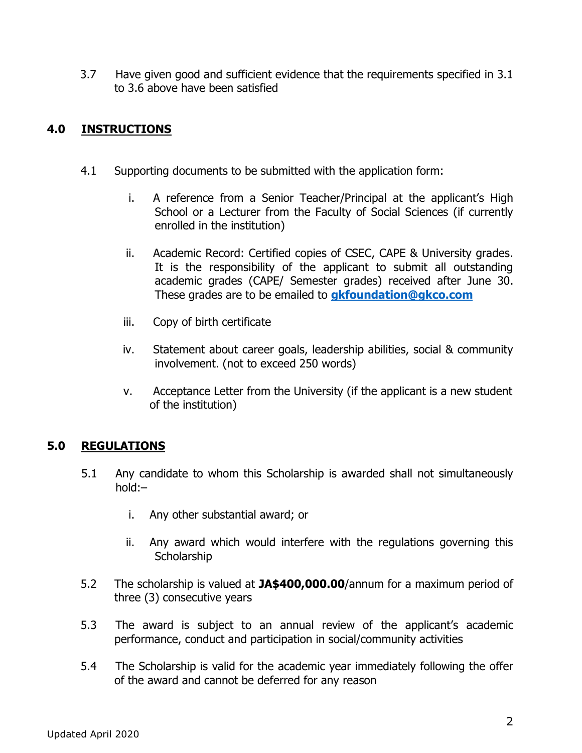3.7 Have given good and sufficient evidence that the requirements specified in 3.1 to 3.6 above have been satisfied

# **4.0 INSTRUCTIONS**

- 4.1 Supporting documents to be submitted with the application form:
	- i. A reference from a Senior Teacher/Principal at the applicant's High School or a Lecturer from the Faculty of Social Sciences (if currently enrolled in the institution)
	- ii. Academic Record: Certified copies of CSEC, CAPE & University grades. It is the responsibility of the applicant to submit all outstanding academic grades (CAPE/ Semester grades) received after June 30. These grades are to be emailed to **[gkfoundation@gkco.com](mailto:gkfoundation@gkco.com)**
	- iii. Copy of birth certificate
	- iv. Statement about career goals, leadership abilities, social & community involvement. (not to exceed 250 words)
	- v. Acceptance Letter from the University (if the applicant is a new student of the institution)

# **5.0 REGULATIONS**

- 5.1 Any candidate to whom this Scholarship is awarded shall not simultaneously hold:–
	- i. Any other substantial award; or
	- ii. Any award which would interfere with the regulations governing this **Scholarship**
- 5.2 The scholarship is valued at **JA\$400,000.00**/annum for a maximum period of three (3) consecutive years
- 5.3 The award is subject to an annual review of the applicant's academic performance, conduct and participation in social/community activities
- 5.4 The Scholarship is valid for the academic year immediately following the offer of the award and cannot be deferred for any reason